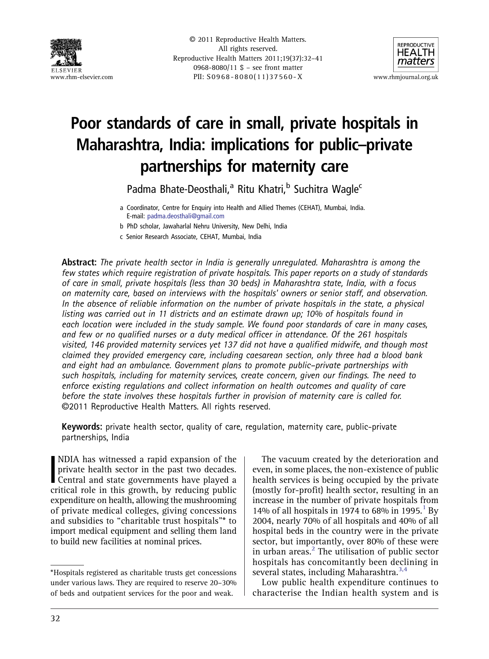



# Poor standards of care in small, private hospitals in Maharashtra, India: implications for public–private partnerships for maternity care

Padma Bhate-Deosthali,<sup>a</sup> Ritu Khatri,<sup>b</sup> Suchitra Wagle<sup>c</sup>

b PhD scholar, Jawaharlal Nehru University, New Delhi, India

c Senior Research Associate, CEHAT, Mumbai, India

Abstract: The private health sector in India is generally unregulated. Maharashtra is among the few states which require registration of private hospitals. This paper reports on a study of standards of care in small, private hospitals (less than 30 beds) in Maharashtra state, India, with a focus on maternity care, based on interviews with the hospitals' owners or senior staff, and observation. In the absence of reliable information on the number of private hospitals in the state, a physical listing was carried out in 11 districts and an estimate drawn up; 10% of hospitals found in each location were included in the study sample. We found poor standards of care in many cases, and few or no qualified nurses or a duty medical officer in attendance. Of the 261 hospitals visited, 146 provided maternity services yet 137 did not have a qualified midwife, and though most claimed they provided emergency care, including caesarean section, only three had a blood bank and eight had an ambulance. Government plans to promote public–private partnerships with such hospitals, including for maternity services, create concern, given our findings. The need to enforce existing regulations and collect information on health outcomes and quality of care before the state involves these hospitals further in provision of maternity care is called for. ©2011 Reproductive Health Matters. All rights reserved.

Keywords: private health sector, quality of care, regulation, maternity care, public-private partnerships, India

NDIA has witnessed a rapid expansion of the private health sector in the past two decades.<br>Central and state governments have played a critical role in this growth, by reducing public NDIA has witnessed a rapid expansion of the private health sector in the past two decades. Central and state governments have played a expenditure on health, allowing the mushrooming of private medical colleges, giving concessions and subsidies to "charitable trust hospitals"\* to import medical equipment and selling them land to build new facilities at nominal prices.

The vacuum created by the deterioration and even, in some places, the non-existence of public health services is being occupied by the private (mostly for-profit) health sector, resulting in an increase in the number of private hospitals from [1](#page-7-0)4% of all hospitals in 1974 to 68% in 1995.<sup>1</sup> By 2004, nearly 70% of all hospitals and 40% of all hospital beds in the country were in the private sector, but importantly, over 80% of these were in urban areas. $2$  The utilisation of public sector hospitals has concomitantly been declining in several states, including Maharashtra.<sup>[3,4](#page-7-0)</sup>

Low public health expenditure continues to characterise the Indian health system and is

a Coordinator, Centre for Enquiry into Health and Allied Themes (CEHAT), Mumbai, India. E-mail: [padma.deosthali@gmail.com](mailto:padma.deosthali@gmail.com)

<sup>\*</sup>Hospitals registered as charitable trusts get concessions under various laws. They are required to reserve 20–30% of beds and outpatient services for the poor and weak.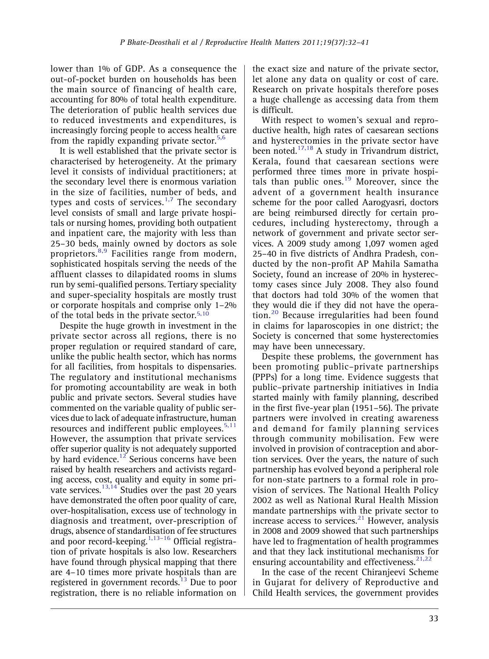lower than 1% of GDP. As a consequence the out-of-pocket burden on households has been the main source of financing of health care, accounting for 80% of total health expenditure. The deterioration of public health services due to reduced investments and expenditures, is increasingly forcing people to access health care from the rapidly expanding private sector. $5,6$ 

It is well established that the private sector is characterised by heterogeneity. At the primary level it consists of individual practitioners; at the secondary level there is enormous variation in the size of facilities, number of beds, and types and costs of services. $1,7$  $1,7$  The secondary level consists of small and large private hospitals or nursing homes, providing both outpatient and inpatient care, the majority with less than 25–30 beds, mainly owned by doctors as sole proprietors.<sup>[8,9](#page-8-0)</sup> Facilities range from modern, sophisticated hospitals serving the needs of the affluent classes to dilapidated rooms in slums run by semi-qualified persons. Tertiary speciality and super-speciality hospitals are mostly trust or corporate hospitals and comprise only 1–2% of the total beds in the private sector.<sup>[5](#page-8-0),[10](#page-8-0)</sup>

Despite the huge growth in investment in the private sector across all regions, there is no proper regulation or required standard of care, unlike the public health sector, which has norms for all facilities, from hospitals to dispensaries. The regulatory and institutional mechanisms for promoting accountability are weak in both public and private sectors. Several studies have commented on the variable quality of public services due to lack of adequate infrastructure, human resources and indifferent public employees. $5,11$ However, the assumption that private services offer superior quality is not adequately supported by hard evidence.<sup>12</sup> Serious concerns have been raised by health researchers and activists regarding access, cost, quality and equity in some private services.<sup>13,14</sup> Studies over the past 20 years have demonstrated the often poor quality of care, over-hospitalisation, excess use of technology in diagnosis and treatment, over-prescription of drugs, absence of standardisation of fee structures and poor record-keeping.<sup>[1](#page-7-0)[,13](#page-8-0)–[16](#page-8-0)</sup> Official registration of private hospitals is also low. Researchers have found through physical mapping that there are 4–10 times more private hospitals than are registered in government records.<sup>13</sup> Due to poor registration, there is no reliable information on the exact size and nature of the private sector, let alone any data on quality or cost of care. Research on private hospitals therefore poses a huge challenge as accessing data from them is difficult.

With respect to women's sexual and reproductive health, high rates of caesarean sections and hysterectomies in the private sector have been noted.<sup>[17,18](#page-8-0)</sup> A study in Trivandrum district, Kerala, found that caesarean sections were performed three times more in private hospi-tals than public ones.<sup>[19](#page-8-0)</sup> Moreover, since the advent of a government health insurance scheme for the poor called Aarogyasri, doctors are being reimbursed directly for certain procedures, including hysterectomy, through a network of government and private sector services. A 2009 study among 1,097 women aged 25–40 in five districts of Andhra Pradesh, conducted by the non-profit AP Mahila Samatha Society, found an increase of 20% in hysterectomy cases since July 2008. They also found that doctors had told 30% of the women that they would die if they did not have the opera-tion.<sup>[20](#page-8-0)</sup> Because irregularities had been found in claims for laparoscopies in one district; the Society is concerned that some hysterectomies may have been unnecessary.

Despite these problems, the government has been promoting public–private partnerships (PPPs) for a long time. Evidence suggests that public–private partnership initiatives in India started mainly with family planning, described in the first five-year plan (1951–56). The private partners were involved in creating awareness and demand for family planning services through community mobilisation. Few were involved in provision of contraception and abortion services. Over the years, the nature of such partnership has evolved beyond a peripheral role for non-state partners to a formal role in provision of services. The National Health Policy 2002 as well as National Rural Health Mission mandate partnerships with the private sector to increase access to services. $21$  However, analysis in 2008 and 2009 showed that such partnerships have led to fragmentation of health programmes and that they lack institutional mechanisms for ensuring accountability and effectiveness.  $21,22$ 

In the case of the recent Chiranjeevi Scheme in Gujarat for delivery of Reproductive and Child Health services, the government provides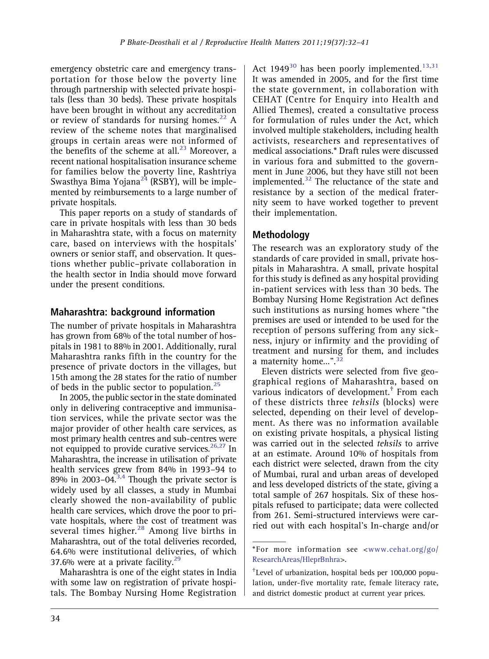emergency obstetric care and emergency transportation for those below the poverty line through partnership with selected private hospitals (less than 30 beds). These private hospitals have been brought in without any accreditation or review of standards for nursing homes. $^{22}$  $^{22}$  $^{22}$  A review of the scheme notes that marginalised groups in certain areas were not informed of the benefits of the scheme at all. $^{23}$  $^{23}$  $^{23}$  Moreover, a recent national hospitalisation insurance scheme for families below the poverty line, Rashtriya Swasthya Bima Yojana<sup>[24](#page-8-0)</sup> (RSBY), will be implemented by reimbursements to a large number of private hospitals.

This paper reports on a study of standards of care in private hospitals with less than 30 beds in Maharashtra state, with a focus on maternity care, based on interviews with the hospitals' owners or senior staff, and observation. It questions whether public–private collaboration in the health sector in India should move forward under the present conditions.

# Maharashtra: background information

The number of private hospitals in Maharashtra has grown from 68% of the total number of hospitals in 1981 to 88% in 2001. Additionally, rural Maharashtra ranks fifth in the country for the presence of private doctors in the villages, but 15th among the 28 states for the ratio of number of beds in the public sector to population. $25$ 

In 2005, the public sector in the state dominated only in delivering contraceptive and immunisation services, while the private sector was the major provider of other health care services, as most primary health centres and sub-centres were not equipped to provide curative services.  $26,27$  In Maharashtra, the increase in utilisation of private health services grew from 84% in 1993–94 to  $89\%$  in 2003–04.<sup>3,4</sup> Though the private sector is widely used by all classes, a study in Mumbai clearly showed the non-availability of public health care services, which drove the poor to private hospitals, where the cost of treatment was several times higher.<sup>[28](#page-8-0)</sup> Among live births in Maharashtra, out of the total deliveries recorded, 64.6% were institutional deliveries, of which 37.6% were at a private facility. $^{29}$ 

Maharashtra is one of the eight states in India with some law on registration of private hospitals. The Bombay Nursing Home Registration Act 1949<sup>[30](#page-8-0)</sup> has been poorly implemented.<sup>[13,31](#page-8-0)</sup> It was amended in 2005, and for the first time the state government, in collaboration with CEHAT (Centre for Enquiry into Health and Allied Themes), created a consultative process for formulation of rules under the Act, which involved multiple stakeholders, including health activists, researchers and representatives of medical associations.\* Draft rules were discussed in various fora and submitted to the government in June 2006, but they have still not been implemented. $32$  The reluctance of the state and resistance by a section of the medical fraternity seem to have worked together to prevent their implementation.

# Methodology

The research was an exploratory study of the standards of care provided in small, private hospitals in Maharashtra. A small, private hospital for this study is defined as any hospital providing in-patient services with less than 30 beds. The Bombay Nursing Home Registration Act defines such institutions as nursing homes where "the premises are used or intended to be used for the reception of persons suffering from any sickness, injury or infirmity and the providing of treatment and nursing for them, and includes a maternity home…". [32](#page-8-0)

Eleven districts were selected from five geographical regions of Maharashtra, based on various indicators of development.† From each of these districts three tehsils (blocks) were selected, depending on their level of development. As there was no information available on existing private hospitals, a physical listing was carried out in the selected tehsils to arrive at an estimate. Around 10% of hospitals from each district were selected, drawn from the city of Mumbai, rural and urban areas of developed and less developed districts of the state, giving a total sample of 267 hospitals. Six of these hospitals refused to participate; data were collected from 261. Semi-structured interviews were carried out with each hospital's In-charge and/or

<sup>\*</sup>For more information see <[www.cehat.org/go/](http://www.cehat.org/go/ResearchAreas/HleprBnhra) [ResearchAreas/HleprBnhra>](http://www.cehat.org/go/ResearchAreas/HleprBnhra).

<sup>†</sup> Level of urbanization, hospital beds per 100,000 population, under-five mortality rate, female literacy rate, and district domestic product at current year prices.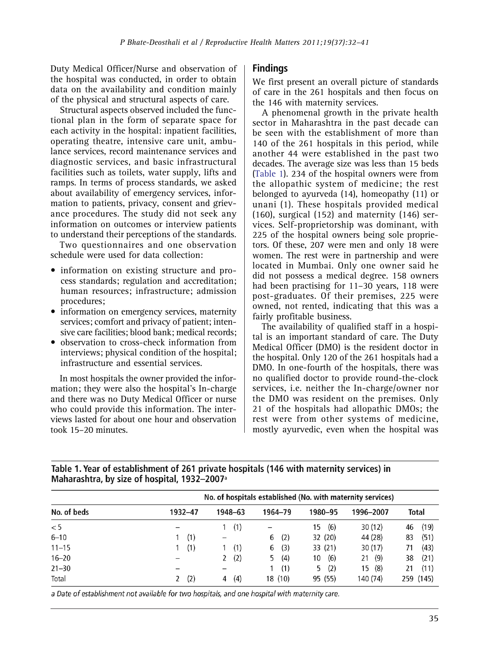Duty Medical Officer/Nurse and observation of the hospital was conducted, in order to obtain data on the availability and condition mainly of the physical and structural aspects of care.

Structural aspects observed included the functional plan in the form of separate space for each activity in the hospital: inpatient facilities, operating theatre, intensive care unit, ambulance services, record maintenance services and diagnostic services, and basic infrastructural facilities such as toilets, water supply, lifts and ramps. In terms of process standards, we asked about availability of emergency services, information to patients, privacy, consent and grievance procedures. The study did not seek any information on outcomes or interview patients to understand their perceptions of the standards.

Two questionnaires and one observation schedule were used for data collection:

- information on existing structure and process standards; regulation and accreditation; human resources; infrastructure; admission procedures;
- information on emergency services, maternity services; comfort and privacy of patient; intensive care facilities; blood bank; medical records;
- observation to cross-check information from interviews; physical condition of the hospital; infrastructure and essential services.

In most hospitals the owner provided the information; they were also the hospital's In-charge and there was no Duty Medical Officer or nurse who could provide this information. The interviews lasted for about one hour and observation took 15–20 minutes.

# **Findings**

We first present an overall picture of standards of care in the 261 hospitals and then focus on the 146 with maternity services.

A phenomenal growth in the private health sector in Maharashtra in the past decade can be seen with the establishment of more than 140 of the 261 hospitals in this period, while another 44 were established in the past two decades. The average size was less than 15 beds (Table 1). 234 of the hospital owners were from the allopathic system of medicine; the rest belonged to ayurveda (14), homeopathy (11) or unani (1). These hospitals provided medical (160), surgical (152) and maternity (146) services. Self-proprietorship was dominant, with 225 of the hospital owners being sole proprietors. Of these, 207 were men and only 18 were women. The rest were in partnership and were located in Mumbai. Only one owner said he did not possess a medical degree. 158 owners had been practising for 11–30 years, 118 were post-graduates. Of their premises, 225 were owned, not rented, indicating that this was a fairly profitable business.

The availability of qualified staff in a hospital is an important standard of care. The Duty Medical Officer (DMO) is the resident doctor in the hospital. Only 120 of the 261 hospitals had a DMO. In one-fourth of the hospitals, there was no qualified doctor to provide round-the-clock services, i.e. neither the In-charge/owner nor the DMO was resident on the premises. Only 21 of the hospitals had allopathic DMOs; the rest were from other systems of medicine, mostly ayurvedic, even when the hospital was

Table 1. Year of establishment of 261 private hospitals (146 with maternity services) in Maharashtra, by size of hospital, 1932-2007<sup>a</sup>

|             |         |          |           |           | No. of hospitals established (No. with maternity services) |            |
|-------------|---------|----------|-----------|-----------|------------------------------------------------------------|------------|
| No. of beds | 1932-47 | 1948-63  | 1964–79   | 1980–95   | 1996–2007                                                  | Total      |
| < 5         | -       | (1)      |           | (6)<br>15 | 30 (12)                                                    | (19)<br>46 |
| $6 - 10$    | (1)     |          | (2)<br>6  | 32 (20)   | 44 (28)                                                    | (51)<br>83 |
| $11 - 15$   | (1)     | (1)      | (3)<br>6  | 33 (21)   | 30(17)                                                     | (43)<br>71 |
| $16 - 20$   |         | (2)      | (4)<br>5. | (6)<br>10 | (9)<br>21                                                  | (21)<br>38 |
| $21 - 30$   |         |          | (1)       | (2)<br>5  | (8)<br>15                                                  | (11)<br>21 |
| Total       | (2)     | (4)<br>4 | 18 (10)   | 95 (55)   | 140 (74)                                                   | 259 (145)  |

a Date of establishment not available for two hospitals, and one hospital with maternity care.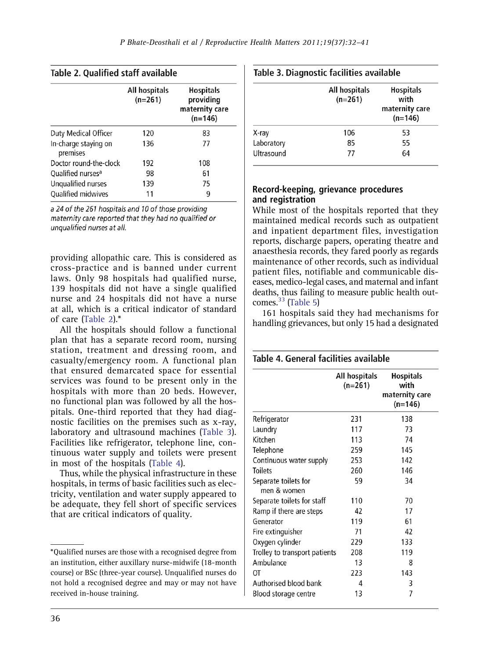<span id="page-4-0"></span>

|  |  |  |  | Table 2. Qualified staff available |
|--|--|--|--|------------------------------------|
|--|--|--|--|------------------------------------|

| All hospitals<br>$(n=261)$ | <b>Hospitals</b><br>providing<br>maternity care<br>$(n=146)$ |
|----------------------------|--------------------------------------------------------------|
| 120                        | 83                                                           |
| 136                        | 77                                                           |
| 192                        | 108                                                          |
| 98                         | 61                                                           |
| 139                        | 75                                                           |
| 11                         | q                                                            |
|                            |                                                              |

a 24 of the 261 hospitals and 10 of those providing maternity care reported that they had no qualified or unqualified nurses at all.

providing allopathic care. This is considered as cross-practice and is banned under current laws. Only 98 hospitals had qualified nurse, 139 hospitals did not have a single qualified nurse and 24 hospitals did not have a nurse at all, which is a critical indicator of standard of care (Table 2).\*

All the hospitals should follow a functional plan that has a separate record room, nursing station, treatment and dressing room, and casualty/emergency room. A functional plan that ensured demarcated space for essential services was found to be present only in the hospitals with more than 20 beds. However, no functional plan was followed by all the hospitals. One-third reported that they had diagnostic facilities on the premises such as x-ray, laboratory and ultrasound machines (Table 3). Facilities like refrigerator, telephone line, continuous water supply and toilets were present in most of the hospitals (Table 4).

Thus, while the physical infrastructure in these hospitals, in terms of basic facilities such as electricity, ventilation and water supply appeared to be adequate, they fell short of specific services that are critical indicators of quality.

|  | Table 3. Diagnostic facilities available |  |  |
|--|------------------------------------------|--|--|
|--|------------------------------------------|--|--|

|            | All hospitals<br>$(n=261)$ | <b>Hospitals</b><br>with<br>maternity care<br>$(n=146)$ |
|------------|----------------------------|---------------------------------------------------------|
| X-ray      | 106                        | 53                                                      |
| Laboratory | 85                         | 55                                                      |
| Ultrasound | 77                         | 64                                                      |

#### Record-keeping, grievance procedures and registration

While most of the hospitals reported that they maintained medical records such as outpatient and inpatient department files, investigation reports, discharge papers, operating theatre and anaesthesia records, they fared poorly as regards maintenance of other records, such as individual patient files, notifiable and communicable diseases, medico-legal cases, and maternal and infant deaths, thus failing to measure public health outcomes. $33$  [\(Table 5](#page-5-0))

161 hospitals said they had mechanisms for handling grievances, but only 15 had a designated

## Table 4. General facilities available

|                                     | All hospitals<br>$(n=261)$ | <b>Hospitals</b><br>with<br>maternity care<br>(n=146) |
|-------------------------------------|----------------------------|-------------------------------------------------------|
| Refrigerator                        | 231                        | 138                                                   |
| Laundry                             | 117                        | 73                                                    |
| Kitchen                             | 113                        | 74                                                    |
| Telephone                           | 259                        | 145                                                   |
| Continuous water supply             | 253                        | 142                                                   |
| <b>Toilets</b>                      | 260                        | 146                                                   |
| Separate toilets for<br>men & women | 59                         | 34                                                    |
| Separate toilets for staff          | 110                        | 70                                                    |
| Ramp if there are steps             | 42                         | 17                                                    |
| Generator                           | 119                        | 61                                                    |
| Fire extinguisher                   | 71                         | 42                                                    |
| Oxygen cylinder                     | 229                        | 133                                                   |
| Trolley to transport patients       | 208                        | 119                                                   |
| Ambulance                           | 13                         | 8                                                     |
| ОT                                  | 223                        | 143                                                   |
| Authorised blood bank               | 4                          | 3                                                     |
| Blood storage centre                | 13                         | 7                                                     |

<sup>\*</sup>Qualified nurses are those with a recognised degree from an institution, either auxillary nurse-midwife (18-month course) or BSc (three-year course). Unqualified nurses do not hold a recognised degree and may or may not have received in-house training.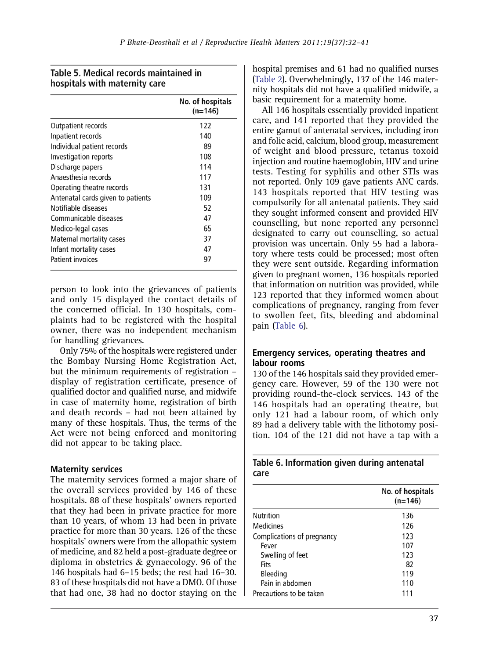# <span id="page-5-0"></span>Table 5. Medical records maintained in hospitals with maternity care

|                                   | No. of hospitals<br>$(n=146)$ |
|-----------------------------------|-------------------------------|
| Outpatient records                | 122                           |
| Inpatient records                 | 140                           |
| Individual patient records        | 89                            |
| Investigation reports             | 108                           |
| Discharge papers                  | 114                           |
| Anaesthesia records               | 117                           |
| Operating theatre records         | 131                           |
| Antenatal cards given to patients | 109                           |
| Notifiable diseases               | 52                            |
| Communicable diseases             | 47                            |
| Medico-legal cases                | 65                            |
| Maternal mortality cases          | 37                            |
| Infant mortality cases            | 47                            |
| Patient invoices                  | 97                            |

person to look into the grievances of patients and only 15 displayed the contact details of the concerned official. In 130 hospitals, complaints had to be registered with the hospital owner, there was no independent mechanism for handling grievances.

Only 75% of the hospitals were registered under the Bombay Nursing Home Registration Act, but the minimum requirements of registration – display of registration certificate, presence of qualified doctor and qualified nurse, and midwife in case of maternity home, registration of birth and death records – had not been attained by many of these hospitals. Thus, the terms of the Act were not being enforced and monitoring did not appear to be taking place.

## Maternity services

The maternity services formed a major share of the overall services provided by 146 of these hospitals. 88 of these hospitals' owners reported that they had been in private practice for more than 10 years, of whom 13 had been in private practice for more than 30 years. 126 of the these hospitals' owners were from the allopathic system of medicine, and 82 held a post-graduate degree or diploma in obstetrics & gynaecology. 96 of the 146 hospitals had 6–15 beds; the rest had 16–30. 83 of these hospitals did not have a DMO. Of those that had one, 38 had no doctor staying on the

hospital premises and 61 had no qualified nurses ([Table 2\)](#page-4-0). Overwhelmingly, 137 of the 146 maternity hospitals did not have a qualified midwife, a basic requirement for a maternity home.

All 146 hospitals essentially provided inpatient care, and 141 reported that they provided the entire gamut of antenatal services, including iron and folic acid, calcium, blood group, measurement of weight and blood pressure, tetanus toxoid injection and routine haemoglobin, HIV and urine tests. Testing for syphilis and other STIs was not reported. Only 109 gave patients ANC cards. 143 hospitals reported that HIV testing was compulsorily for all antenatal patients. They said they sought informed consent and provided HIV counselling, but none reported any personnel designated to carry out counselling, so actual provision was uncertain. Only 55 had a laboratory where tests could be processed; most often they were sent outside. Regarding information given to pregnant women, 136 hospitals reported that information on nutrition was provided, while 123 reported that they informed women about complications of pregnancy, ranging from fever to swollen feet, fits, bleeding and abdominal pain (Table 6).

#### Emergency services, operating theatres and labour rooms

130 of the 146 hospitals said they provided emergency care. However, 59 of the 130 were not providing round-the-clock services. 143 of the 146 hospitals had an operating theatre, but only 121 had a labour room, of which only 89 had a delivery table with the lithotomy position. 104 of the 121 did not have a tap with a

| Table 6. Information given during antenatal |  |  |
|---------------------------------------------|--|--|
| care                                        |  |  |

|                            | No. of hospitals<br>$(n=146)$ |
|----------------------------|-------------------------------|
| Nutrition                  | 136                           |
| <b>Medicines</b>           | 126                           |
| Complications of pregnancy | 123                           |
| Fever                      | 107                           |
| Swelling of feet           | 123                           |
| Fits                       | 82                            |
| Bleeding                   | 119                           |
| Pain in abdomen            | 110                           |
| Precautions to be taken    | 111                           |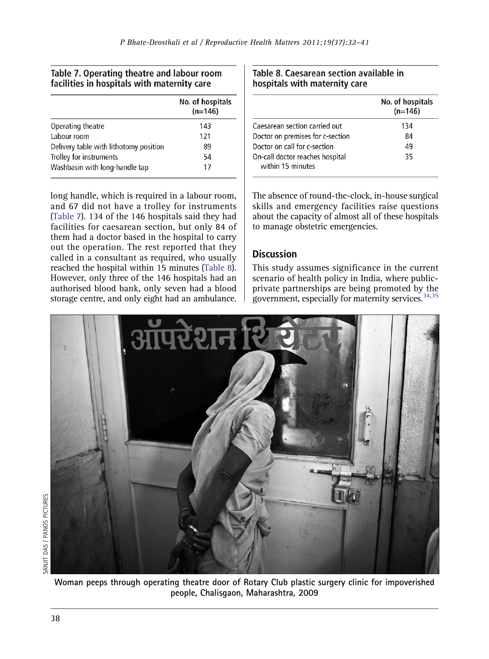## Table 7. Operating theatre and labour room facilities in hospitals with maternity care

|                                        | No. of hospitals<br>$(n=146)$ |
|----------------------------------------|-------------------------------|
| Operating theatre                      | 143                           |
| Labour room                            | 121                           |
| Delivery table with lithotomy position | 89                            |
| Trolley for instruments                | 54                            |
| Washbasin with long-handle tap         | 17                            |

long handle, which is required in a labour room, and 67 did not have a trolley for instruments (Table 7). 134 of the 146 hospitals said they had facilities for caesarean section, but only 84 of them had a doctor based in the hospital to carry out the operation. The rest reported that they called in a consultant as required, who usually reached the hospital within 15 minutes (Table 8). However, only three of the 146 hospitals had an authorised blood bank, only seven had a blood storage centre, and only eight had an ambulance.

#### Table 8. Caesarean section available in hospitals with maternity care

|                                                      | No. of hospitals<br>$(n=146)$ |
|------------------------------------------------------|-------------------------------|
| Caesarean section carried out                        | 134                           |
| Doctor on premises for c-section                     | 84                            |
| Doctor on call for c-section                         | 49                            |
| On-call doctor reaches hospital<br>within 15 minutes | 35                            |

The absence of round-the-clock, in-house surgical skills and emergency facilities raise questions about the capacity of almost all of these hospitals to manage obstetric emergencies.

# **Discussion**

This study assumes significance in the current scenario of health policy in India, where publicprivate partnerships are being promoted by the government, especially for maternity services.  $34,35$ 



Woman peeps through operating theatre door of Rotary Club plastic surgery clinic for impoverished people, Chalisgaon, Maharashtra, 2009

38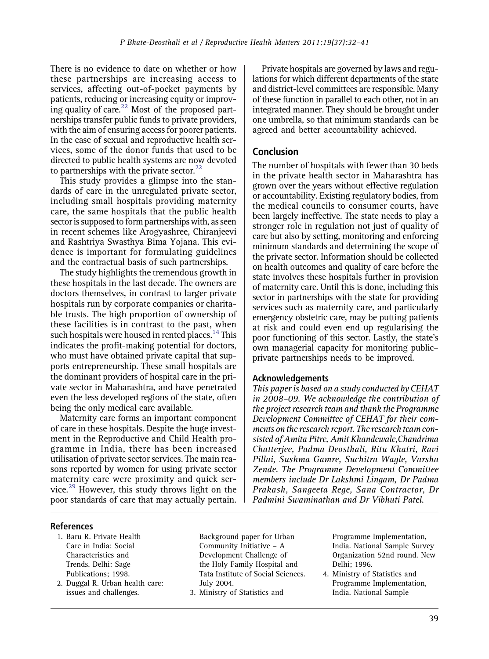<span id="page-7-0"></span>There is no evidence to date on whether or how these partnerships are increasing access to services, affecting out-of-pocket payments by patients, reducing or increasing equity or improv-ing quality of care.<sup>[22](#page-8-0)</sup> Most of the proposed partnerships transfer public funds to private providers, with the aim of ensuring access for poorer patients. In the case of sexual and reproductive health services, some of the donor funds that used to be directed to public health systems are now devoted to partnerships with the private sector. $^{22}$ 

This study provides a glimpse into the standards of care in the unregulated private sector, including small hospitals providing maternity care, the same hospitals that the public health sector is supposed to form partnerships with, as seen in recent schemes like Arogyashree, Chiranjeevi and Rashtriya Swasthya Bima Yojana. This evidence is important for formulating guidelines and the contractual basis of such partnerships.

The study highlights the tremendous growth in these hospitals in the last decade. The owners are doctors themselves, in contrast to larger private hospitals run by corporate companies or charitable trusts. The high proportion of ownership of these facilities is in contrast to the past, when such hospitals were housed in rented places.<sup>14</sup> This indicates the profit-making potential for doctors, who must have obtained private capital that supports entrepreneurship. These small hospitals are the dominant providers of hospital care in the private sector in Maharashtra, and have penetrated even the less developed regions of the state, often being the only medical care available.

Maternity care forms an important component of care in these hospitals. Despite the huge investment in the Reproductive and Child Health programme in India, there has been increased utilisation of private sector services. The main reasons reported by women for using private sector maternity care were proximity and quick ser-vice.<sup>[29](#page-8-0)</sup> However, this study throws light on the poor standards of care that may actually pertain.

Private hospitals are governed by laws and regulations for which different departments of the state and district-level committees are responsible. Many of these function in parallel to each other, not in an integrated manner. They should be brought under one umbrella, so that minimum standards can be agreed and better accountability achieved.

## Conclusion

The number of hospitals with fewer than 30 beds in the private health sector in Maharashtra has grown over the years without effective regulation or accountability. Existing regulatory bodies, from the medical councils to consumer courts, have been largely ineffective. The state needs to play a stronger role in regulation not just of quality of care but also by setting, monitoring and enforcing minimum standards and determining the scope of the private sector. Information should be collected on health outcomes and quality of care before the state involves these hospitals further in provision of maternity care. Until this is done, including this sector in partnerships with the state for providing services such as maternity care, and particularly emergency obstetric care, may be putting patients at risk and could even end up regularising the poor functioning of this sector. Lastly, the state's own managerial capacity for monitoring public– private partnerships needs to be improved.

#### Acknowledgements

This paper is based on a study conducted by CEHAT in 2008–09. We acknowledge the contribution of the project research team and thank the Programme Development Committee of CEHAT for their comments on the research report. The research team consisted of Amita Pitre, Amit Khandewale,Chandrima Chatterjee, Padma Deosthali, Ritu Khatri, Ravi Pillai, Sushma Gamre, Suchitra Wagle, Varsha Zende. The Programme Development Committee members include Dr Lakshmi Lingam, Dr Padma Prakash, Sangeeta Rege, Sana Contractor, Dr Padmini Swaminathan and Dr Vibhuti Patel.

#### References

- 1. Baru R. Private Health Care in India: Social Characteristics and Trends. Delhi: Sage Publications; 1998.
- 2. Duggal R. Urban health care: issues and challenges.

Background paper for Urban Community Initiative – A Development Challenge of the Holy Family Hospital and Tata Institute of Social Sciences. July 2004.

3. Ministry of Statistics and

Programme Implementation, India. National Sample Survey Organization 52nd round. New Delhi; 1996.

4. Ministry of Statistics and Programme Implementation, India. National Sample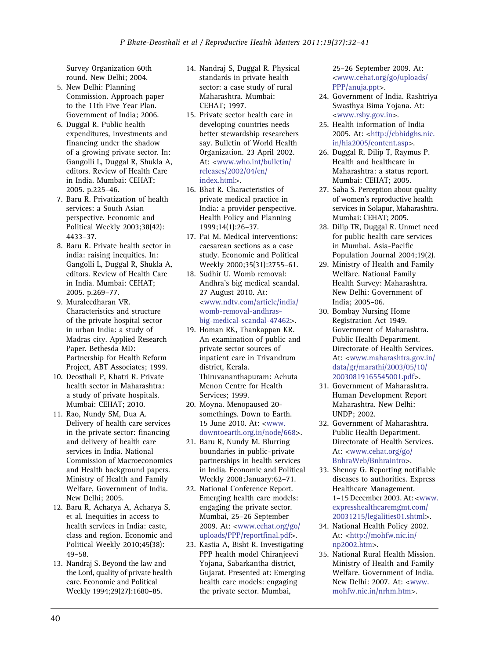<span id="page-8-0"></span>Survey Organization 60th round. New Delhi; 2004.

- 5. New Delhi: Planning Commission. Approach paper to the 11th Five Year Plan. Government of India; 2006.
- 6. Duggal R. Public health expenditures, investments and financing under the shadow of a growing private sector. In: Gangolli L, Duggal R, Shukla A, editors. Review of Health Care in India. Mumbai: CEHAT; 2005. p.225–46.
- 7. Baru R. Privatization of health services: a South Asian perspective. Economic and Political Weekly 2003;38(42): 4433–37.
- 8. Baru R. Private health sector in india: raising inequities. In: Gangolli L, Duggal R, Shukla A, editors. Review of Health Care in India. Mumbai: CEHAT; 2005. p.269–77.
- 9. Muraleedharan VR. Characteristics and structure of the private hospital sector in urban India: a study of Madras city. Applied Research Paper. Bethesda MD: Partnership for Health Reform Project, ABT Associates; 1999.
- 10. Deosthali P, Khatri R. Private health sector in Maharashtra: a study of private hospitals. Mumbai: CEHAT; 2010.
- 11. Rao, Nundy SM, Dua A. Delivery of health care services in the private sector: financing and delivery of health care services in India. National Commission of Macroeconomics and Health background papers. Ministry of Health and Family Welfare, Government of India. New Delhi; 2005.
- 12. Baru R, Acharya A, Acharya S, et al. Inequities in access to health services in India: caste class and region. Economic and Political Weekly 2010;45(38): 49–58.
- 13. Nandraj S. Beyond the law and the Lord, quality of private health care. Economic and Political Weekly 1994;29(27):1680–85.
- 14. Nandraj S, Duggal R. Physical standards in private health sector: a case study of rural Maharashtra. Mumbai: CEHAT; 1997.
- 15. Private sector health care in developing countries needs better stewardship researchers say. Bulletin of World Health Organization. 23 April 2002. At: [<www.who.int/bulletin/](http://www.who.int/bulletin/releases/2002/04/en/index.html) [releases/2002/04/en/](http://www.who.int/bulletin/releases/2002/04/en/index.html) [index.html>](http://www.who.int/bulletin/releases/2002/04/en/index.html).
- 16. Bhat R. Characteristics of private medical practice in India: a provider perspective. Health Policy and Planning  $1999 \cdot 14(1) \cdot 26 - 37$
- 17. Pai M. Medical interventions: caesarean sections as a case study. Economic and Political Weekly 2000;35(31):2755–61.
- 18. Sudhir U. Womb removal: Andhra's big medical scandal. 27 August 2010. At: <[www.ndtv.com/article/india/](http://www.ndtv.com/article/india/womb-removal-andhras-big-medical-scandal-47462) [womb-removal-andhras](http://www.ndtv.com/article/india/womb-removal-andhras-big-medical-scandal-47462)[big-medical-scandal-47462](http://www.ndtv.com/article/india/womb-removal-andhras-big-medical-scandal-47462)>.
- 19. Homan RK, Thankappan KR. An examination of public and private sector sources of inpatient care in Trivandrum district, Kerala. Thiruvananthapuram: Achuta Menon Centre for Health Services; 1999.
- 20. Moyna. Menopaused 20 somethings. Down to Earth. 15 June 2010. At: [<www.](http://www.downtoearth.org.in/node/668) [downtoearth.org.in/node/668](http://www.downtoearth.org.in/node/668)>.
- 21. Baru R, Nundy M. Blurring boundaries in public–private partnerships in health services in India. Economic and Political Weekly 2008;January:62–71.
- 22. National Conference Report. Emerging health care models: engaging the private sector. Mumbai, 25–26 September 2009. At: [<www.cehat.org/go/](http://www.cehat.org/go/uploads/PPP/reportfinal.pdf) [uploads/PPP/reportfinal.pdf](http://www.cehat.org/go/uploads/PPP/reportfinal.pdf)>.
- 23. Kastia A, Bisht R. Investigating PPP health model Chiranjeevi Yojana, Sabarkantha district, Gujarat. Presented at: Emerging health care models: engaging the private sector. Mumbai,

25–26 September 2009. At: [<www.cehat.org/go/uploads/](http://www.cehat.org/go/uploads/PPP/anuja.ppt) [PPP/anuja.ppt>](http://www.cehat.org/go/uploads/PPP/anuja.ppt).

- 24. Government of India. Rashtriya Swasthya Bima Yojana. At: [<www.rsby.gov.in>](http://www.rsby.gov.in).
- 25. Health information of India 2005. At: [<http://cbhidghs.nic.](http://cbhidghs.nic.in/hia2005/content.asp) [in/hia2005/content.asp>](http://cbhidghs.nic.in/hia2005/content.asp).
- 26. Duggal R, Dilip T, Raymus P. Health and healthcare in Maharashtra: a status report. Mumbai: CEHAT; 2005.
- 27. Saha S. Perception about quality of women's reproductive health services in Solapur, Maharashtra. Mumbai: CEHAT; 2005.
- 28. Dilip TR, Duggal R. Unmet need for public health care services in Mumbai. Asia-Pacific Population Journal 2004;19(2).
- 29. Ministry of Health and Family Welfare. National Family Health Survey: Maharashtra. New Delhi: Government of India; 2005–06.
- 30. Bombay Nursing Home Registration Act 1949. Government of Maharashtra. Public Health Department. Directorate of Health Services. At: [<www.maharashtra.gov.in/](http://www.maharashtra.gov.in/data/gr/marathi/2003/05/10/20030819165545001.pdf) [data/gr/marathi/2003/05/10/](http://www.maharashtra.gov.in/data/gr/marathi/2003/05/10/20030819165545001.pdf) [20030819165545001.pdf>](http://www.maharashtra.gov.in/data/gr/marathi/2003/05/10/20030819165545001.pdf).
- 31. Government of Maharashtra. Human Development Report Maharashtra. New Delhi: UNDP; 2002.
- 32. Government of Maharashtra. Public Health Department. Directorate of Health Services. At: [<www.cehat.org/go/](http://www.cehat.org/go/BnhraWeb/Bnhraintro) [BnhraWeb/Bnhraintro](http://www.cehat.org/go/BnhraWeb/Bnhraintro)>.
- 33. Shenoy G. Reporting notifiable diseases to authorities. Express Healthcare Management. 1–15 December 2003. At: [<www.](http://www.expresshealthcaremgmt.com/20031215/legalities01.shtml) [expresshealthcaremgmt.com/](http://www.expresshealthcaremgmt.com/20031215/legalities01.shtml) [20031215/legalities01.shtml](http://www.expresshealthcaremgmt.com/20031215/legalities01.shtml)>.
- 34. National Health Policy 2002. At: [<http://mohfw.nic.in/](http://mohfw.nic.in/np2002.htm) [np2002.htm>](http://mohfw.nic.in/np2002.htm).
- 35. National Rural Health Mission. Ministry of Health and Family Welfare. Government of India. New Delhi: 2007. At: [<www.](http://www.mohfw.nic.in/nrhm.htm) [mohfw.nic.in/nrhm.htm>](http://www.mohfw.nic.in/nrhm.htm).